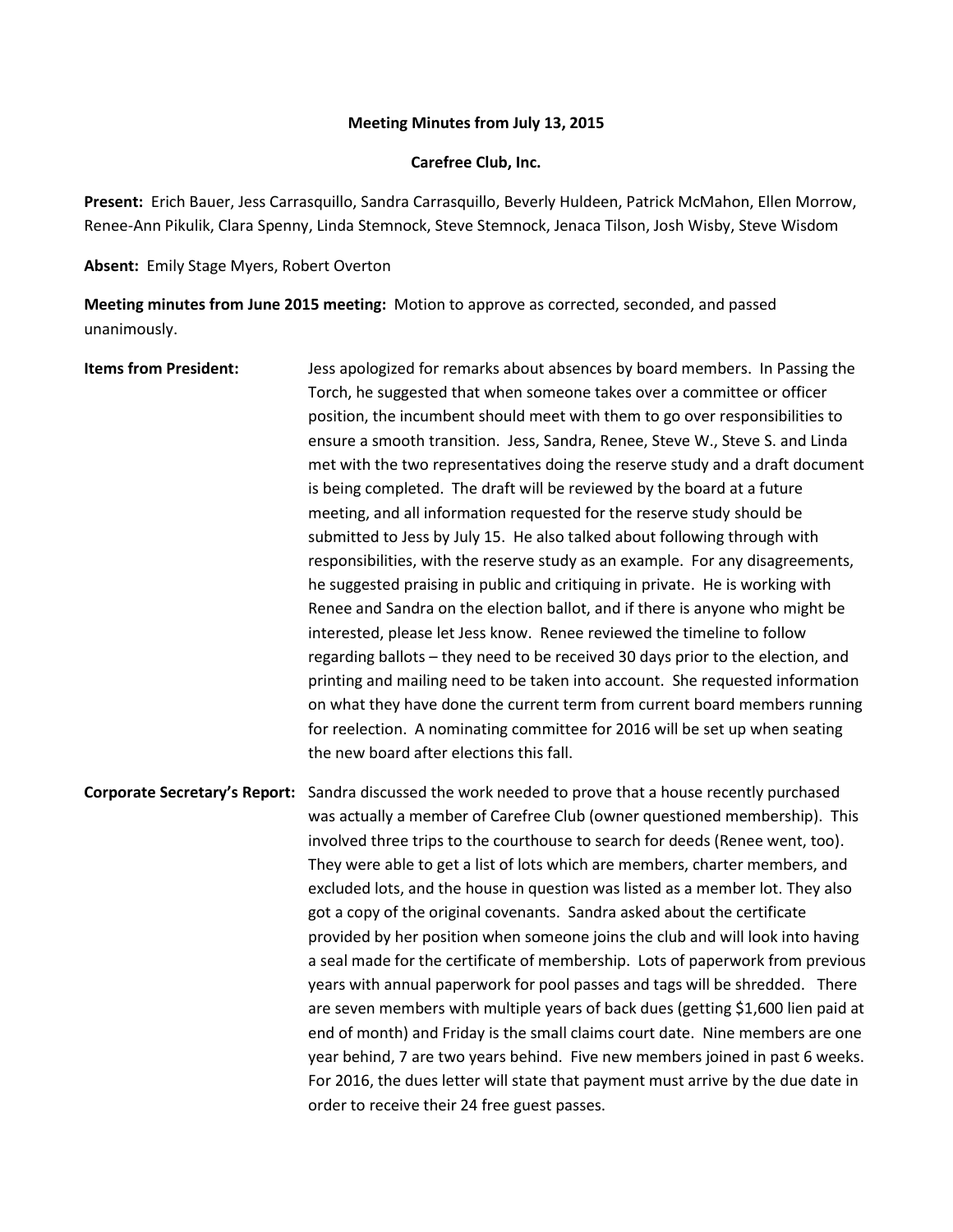## **Meeting Minutes from July 13, 2015**

## **Carefree Club, Inc.**

**Present:** Erich Bauer, Jess Carrasquillo, Sandra Carrasquillo, Beverly Huldeen, Patrick McMahon, Ellen Morrow, Renee-Ann Pikulik, Clara Spenny, Linda Stemnock, Steve Stemnock, Jenaca Tilson, Josh Wisby, Steve Wisdom

**Absent:** Emily Stage Myers, Robert Overton

**Meeting minutes from June 2015 meeting:** Motion to approve as corrected, seconded, and passed unanimously.

**Items from President:** Jess apologized for remarks about absences by board members. In Passing the Torch, he suggested that when someone takes over a committee or officer position, the incumbent should meet with them to go over responsibilities to ensure a smooth transition. Jess, Sandra, Renee, Steve W., Steve S. and Linda met with the two representatives doing the reserve study and a draft document is being completed. The draft will be reviewed by the board at a future meeting, and all information requested for the reserve study should be submitted to Jess by July 15. He also talked about following through with responsibilities, with the reserve study as an example. For any disagreements, he suggested praising in public and critiquing in private. He is working with Renee and Sandra on the election ballot, and if there is anyone who might be interested, please let Jess know. Renee reviewed the timeline to follow regarding ballots – they need to be received 30 days prior to the election, and printing and mailing need to be taken into account. She requested information on what they have done the current term from current board members running for reelection. A nominating committee for 2016 will be set up when seating the new board after elections this fall. **Corporate Secretary's Report:** Sandra discussed the work needed to prove that a house recently purchased was actually a member of Carefree Club (owner questioned membership). This

involved three trips to the courthouse to search for deeds (Renee went, too). They were able to get a list of lots which are members, charter members, and excluded lots, and the house in question was listed as a member lot. They also got a copy of the original covenants. Sandra asked about the certificate provided by her position when someone joins the club and will look into having a seal made for the certificate of membership. Lots of paperwork from previous years with annual paperwork for pool passes and tags will be shredded. There are seven members with multiple years of back dues (getting \$1,600 lien paid at end of month) and Friday is the small claims court date. Nine members are one year behind, 7 are two years behind. Five new members joined in past 6 weeks. For 2016, the dues letter will state that payment must arrive by the due date in order to receive their 24 free guest passes.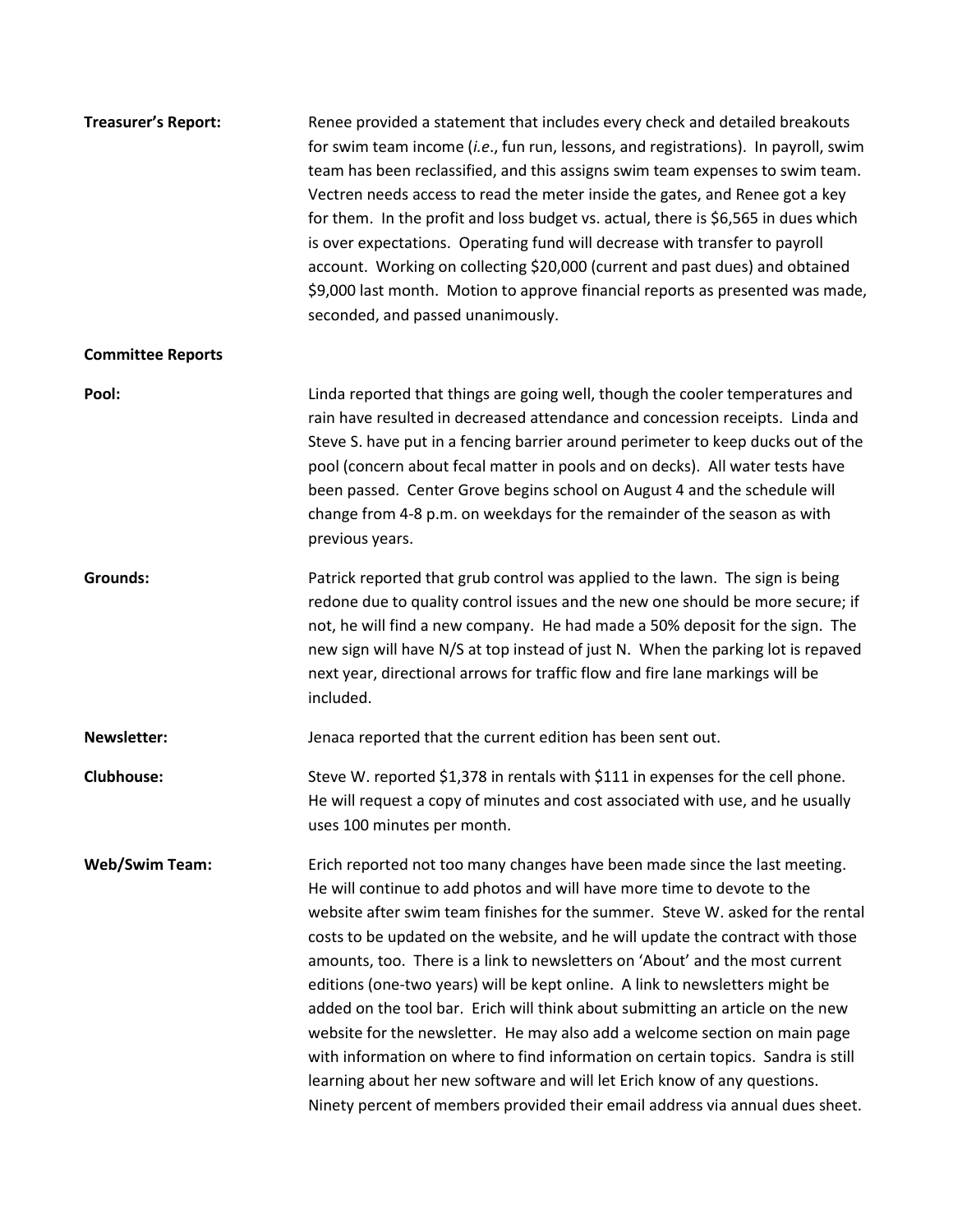| <b>Treasurer's Report:</b> | Renee provided a statement that includes every check and detailed breakouts<br>for swim team income (i.e., fun run, lessons, and registrations). In payroll, swim<br>team has been reclassified, and this assigns swim team expenses to swim team.<br>Vectren needs access to read the meter inside the gates, and Renee got a key<br>for them. In the profit and loss budget vs. actual, there is \$6,565 in dues which<br>is over expectations. Operating fund will decrease with transfer to payroll<br>account. Working on collecting \$20,000 (current and past dues) and obtained<br>\$9,000 last month. Motion to approve financial reports as presented was made,<br>seconded, and passed unanimously.                                                                                                                                                                                              |
|----------------------------|-------------------------------------------------------------------------------------------------------------------------------------------------------------------------------------------------------------------------------------------------------------------------------------------------------------------------------------------------------------------------------------------------------------------------------------------------------------------------------------------------------------------------------------------------------------------------------------------------------------------------------------------------------------------------------------------------------------------------------------------------------------------------------------------------------------------------------------------------------------------------------------------------------------|
| <b>Committee Reports</b>   |                                                                                                                                                                                                                                                                                                                                                                                                                                                                                                                                                                                                                                                                                                                                                                                                                                                                                                             |
| Pool:                      | Linda reported that things are going well, though the cooler temperatures and<br>rain have resulted in decreased attendance and concession receipts. Linda and<br>Steve S. have put in a fencing barrier around perimeter to keep ducks out of the<br>pool (concern about fecal matter in pools and on decks). All water tests have<br>been passed. Center Grove begins school on August 4 and the schedule will<br>change from 4-8 p.m. on weekdays for the remainder of the season as with<br>previous years.                                                                                                                                                                                                                                                                                                                                                                                             |
| <b>Grounds:</b>            | Patrick reported that grub control was applied to the lawn. The sign is being<br>redone due to quality control issues and the new one should be more secure; if<br>not, he will find a new company. He had made a 50% deposit for the sign. The<br>new sign will have N/S at top instead of just N. When the parking lot is repaved<br>next year, directional arrows for traffic flow and fire lane markings will be<br>included.                                                                                                                                                                                                                                                                                                                                                                                                                                                                           |
| <b>Newsletter:</b>         | Jenaca reported that the current edition has been sent out.                                                                                                                                                                                                                                                                                                                                                                                                                                                                                                                                                                                                                                                                                                                                                                                                                                                 |
| <b>Clubhouse:</b>          | Steve W. reported \$1,378 in rentals with \$111 in expenses for the cell phone.<br>He will request a copy of minutes and cost associated with use, and he usually<br>uses 100 minutes per month.                                                                                                                                                                                                                                                                                                                                                                                                                                                                                                                                                                                                                                                                                                            |
| <b>Web/Swim Team:</b>      | Erich reported not too many changes have been made since the last meeting.<br>He will continue to add photos and will have more time to devote to the<br>website after swim team finishes for the summer. Steve W. asked for the rental<br>costs to be updated on the website, and he will update the contract with those<br>amounts, too. There is a link to newsletters on 'About' and the most current<br>editions (one-two years) will be kept online. A link to newsletters might be<br>added on the tool bar. Erich will think about submitting an article on the new<br>website for the newsletter. He may also add a welcome section on main page<br>with information on where to find information on certain topics. Sandra is still<br>learning about her new software and will let Erich know of any questions.<br>Ninety percent of members provided their email address via annual dues sheet. |